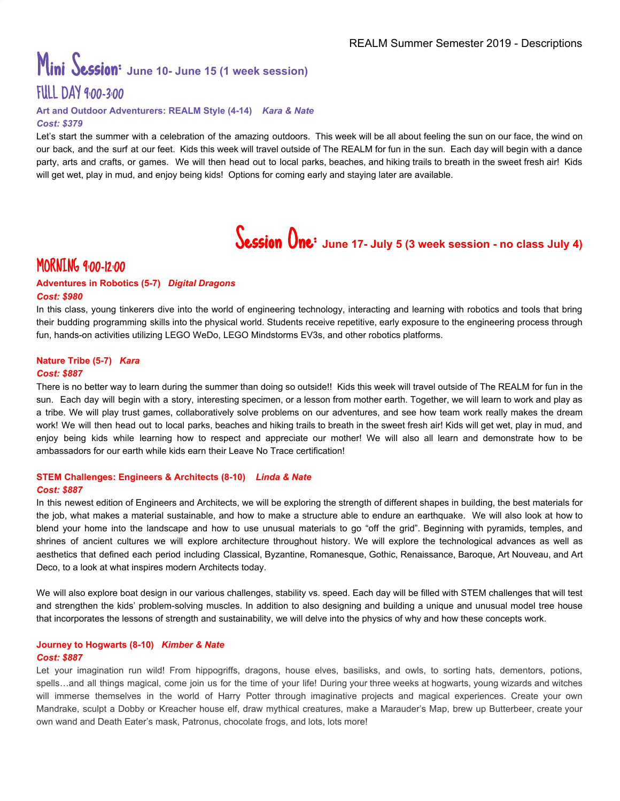# Mini Session: **June 10- June <sup>15</sup> (1 week session)** FULL DAY 9:00-3:00

#### **Art and Outdoor Adventurers: REALM Style (4-14)** *Kara & Nate Cost: \$379*

Let's start the summer with a celebration of the amazing outdoors. This week will be all about feeling the sun on our face, the wind on our back, and the surf at our feet. Kids this week will travel outside of The REALM for fun in the sun. Each day will begin with a dance party, arts and crafts, or games. We will then head out to local parks, beaches, and hiking trails to breath in the sweet fresh air! Kids will get wet, play in mud, and enjoy being kids! Options for coming early and staying later are available.

# Session One: **June 17- July <sup>5</sup> (3 week session - no class July 4)**

# MORNING 9:00-12:00

#### **Adventures in Robotics (5-7)** *Digital Dragons Cost: \$980*

In this class, young tinkerers dive into the world of engineering technology, interacting and learning with robotics and tools that bring their budding programming skills into the physical world. Students receive repetitive, early exposure to the engineering process through fun, hands-on activities utilizing LEGO WeDo, LEGO Mindstorms EV3s, and other robotics platforms.

#### **Nature Tribe (5-7)** *Kara Cost: \$887*

There is no better way to learn during the summer than doing so outside!! Kids this week will travel outside of The REALM for fun in the sun. Each day will begin with a story, interesting specimen, or a lesson from mother earth. Together, we will learn to work and play as a tribe. We will play trust games, collaboratively solve problems on our adventures, and see how team work really makes the dream work! We will then head out to local parks, beaches and hiking trails to breath in the sweet fresh air! Kids will get wet, play in mud, and enjoy being kids while learning how to respect and appreciate our mother! We will also all learn and demonstrate how to be ambassadors for our earth while kids earn their Leave No Trace certification!

#### **STEM Challenges: Engineers & Architects (8-10)** *Linda & Nate Cost: \$887*

In this newest edition of Engineers and Architects, we will be exploring the strength of different shapes in building, the best materials for the job, what makes a material sustainable, and how to make a structure able to endure an earthquake. We will also look at how to blend your home into the landscape and how to use unusual materials to go "off the grid". Beginning with pyramids, temples, and shrines of ancient cultures we will explore architecture throughout history. We will explore the technological advances as well as aesthetics that defined each period including Classical, Byzantine, Romanesque, Gothic, Renaissance, Baroque, Art Nouveau, and Art Deco, to a look at what inspires modern Architects today.

We will also explore boat design in our various challenges, stability vs. speed. Each day will be filled with STEM challenges that will test and strengthen the kids' problem-solving muscles. In addition to also designing and building a unique and unusual model tree house that incorporates the lessons of strength and sustainability, we will delve into the physics of why and how these concepts work.

#### **Journey to Hogwarts (8-10)** *Kimber & Nate Cost: \$887*

Let your imagination run wild! From hippogriffs, dragons, house elves, basilisks, and owls, to sorting hats, dementors, potions, spells…and all things magical, come join us for the time of your life! During your three weeks at hogwarts, young wizards and witches will immerse themselves in the world of Harry Potter through imaginative projects and magical experiences. Create your own Mandrake, sculpt a Dobby or Kreacher house elf, draw mythical creatures, make a Marauder's Map, brew up Butterbeer, create your own wand and Death Eater's mask, Patronus, chocolate frogs, and lots, lots more!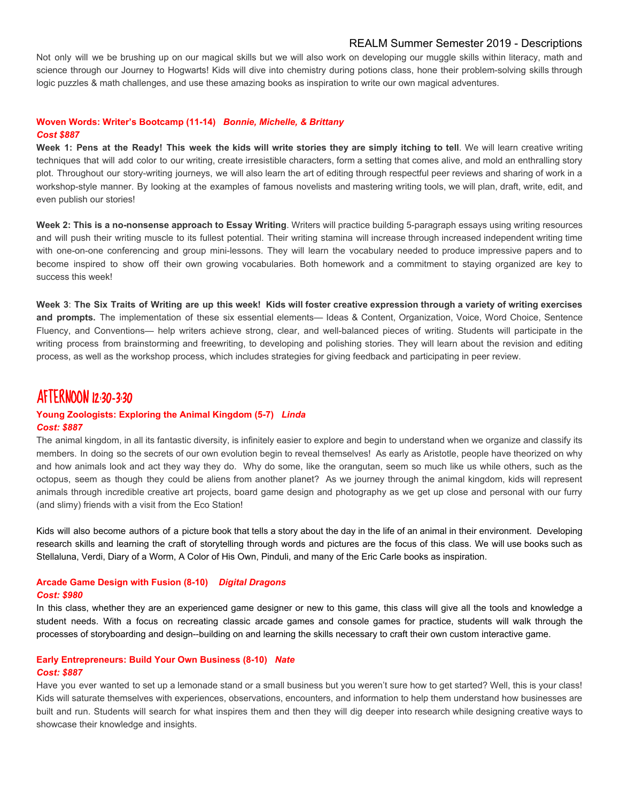#### REALM Summer Semester 2019 - Descriptions

Not only will we be brushing up on our magical skills but we will also work on developing our muggle skills within literacy, math and science through our Journey to Hogwarts! Kids will dive into chemistry during potions class, hone their problem-solving skills through logic puzzles & math challenges, and use these amazing books as inspiration to write our own magical adventures.

#### **Woven Words: Writer's Bootcamp (11-14)** *Bonnie, Michelle, & Brittany Cost \$887*

Week 1: Pens at the Ready! This week the kids will write stories they are simply itching to tell. We will learn creative writing techniques that will add color to our writing, create irresistible characters, form a setting that comes alive, and mold an enthralling story plot. Throughout our story-writing journeys, we will also learn the art of editing through respectful peer reviews and sharing of work in a workshop-style manner. By looking at the examples of famous novelists and mastering writing tools, we will plan, draft, write, edit, and even publish our stories!

**Week 2: This is a no-nonsense approach to Essay Writing**. Writers will practice building 5-paragraph essays using writing resources and will push their writing muscle to its fullest potential. Their writing stamina will increase through increased independent writing time with one-on-one conferencing and group mini-lessons. They will learn the vocabulary needed to produce impressive papers and to become inspired to show off their own growing vocabularies. Both homework and a commitment to staying organized are key to success this week!

Week 3: The Six Traits of Writing are up this week! Kids will foster creative expression through a variety of writing exercises **and prompts.** The implementation of these six essential elements— Ideas & Content, Organization, Voice, Word Choice, Sentence Fluency, and Conventions— help writers achieve strong, clear, and well-balanced pieces of writing. Students will participate in the writing process from brainstorming and freewriting, to developing and polishing stories. They will learn about the revision and editing process, as well as the workshop process, which includes strategies for giving feedback and participating in peer review.

### AFTERNOON 12:30-3:30

#### **Young Zoologists: Exploring the Animal Kingdom (5-7)** *Linda Cost: \$887*

The animal kingdom, in all its fantastic diversity, is infinitely easier to explore and begin to understand when we organize and classify its members. In doing so the secrets of our own evolution begin to reveal themselves! As early as Aristotle, people have theorized on why and how animals look and act they way they do. Why do some, like the orangutan, seem so much like us while others, such as the octopus, seem as though they could be aliens from another planet? As we journey through the animal kingdom, kids will represent animals through incredible creative art projects, board game design and photography as we get up close and personal with our furry (and slimy) friends with a visit from the Eco Station!

Kids will also become authors of a picture book that tells a story about the day in the life of an animal in their environment. Developing research skills and learning the craft of storytelling through words and pictures are the focus of this class. We will use books such as Stellaluna, Verdi, Diary of a Worm, A Color of His Own, Pinduli, and many of the Eric Carle books as inspiration.

#### **Arcade Game Design with Fusion (8-10)** *Digital Dragons Cost: \$980*

In this class, whether they are an experienced game designer or new to this game, this class will give all the tools and knowledge a student needs. With a focus on recreating classic arcade games and console games for practice, students will walk through the processes of storyboarding and design--building on and learning the skills necessary to craft their own custom interactive game.

#### **Early Entrepreneurs: Build Your Own Business (8-10)** *Nate Cost: \$887*

Have you ever wanted to set up a lemonade stand or a small business but you weren't sure how to get started? Well, this is your class! Kids will saturate themselves with experiences, observations, encounters, and information to help them understand how businesses are built and run. Students will search for what inspires them and then they will dig deeper into research while designing creative ways to showcase their knowledge and insights.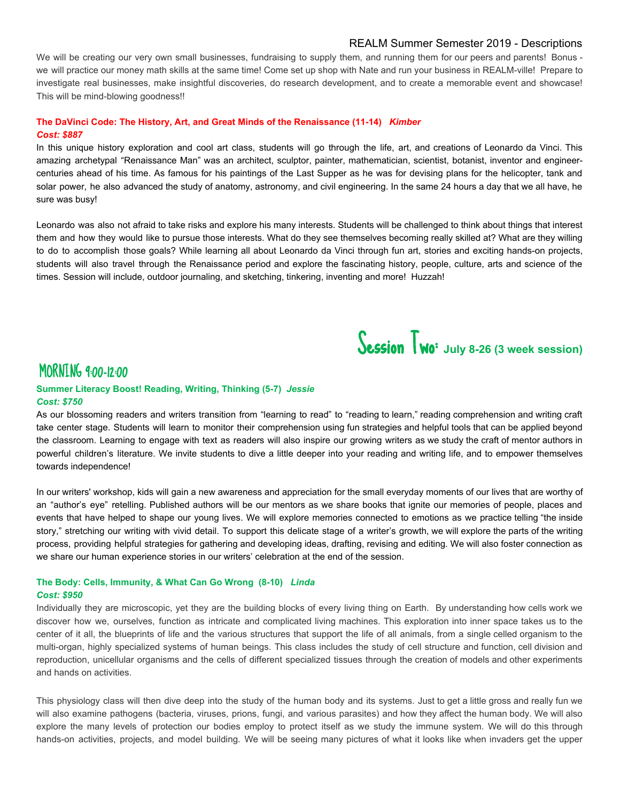#### REALM Summer Semester 2019 - Descriptions

We will be creating our very own small businesses, fundraising to supply them, and running them for our peers and parents! Bonus we will practice our money math skills at the same time! Come set up shop with Nate and run your business in REALM-ville! Prepare to investigate real businesses, make insightful discoveries, do research development, and to create a memorable event and showcase! This will be mind-blowing goodness!!

#### **The DaVinci Code: The History, Art, and Great Minds of the Renaissance (11-14)** *Kimber Cost: \$887*

In this unique history exploration and cool art class, students will go through the life, art, and creations of Leonardo da Vinci. This amazing archetypal "Renaissance Man" was an architect, sculptor, painter, mathematician, scientist, botanist, inventor and engineercenturies ahead of his time. As famous for his paintings of the Last Supper as he was for devising plans for the helicopter, tank and solar power, he also advanced the study of anatomy, astronomy, and civil engineering. In the same 24 hours a day that we all have, he sure was busy!

Leonardo was also not afraid to take risks and explore his many interests. Students will be challenged to think about things that interest them and how they would like to pursue those interests. What do they see themselves becoming really skilled at? What are they willing to do to accomplish those goals? While learning all about Leonardo da Vinci through fun art, stories and exciting hands-on projects, students will also travel through the Renaissance period and explore the fascinating history, people, culture, arts and science of the times. Session will include, outdoor journaling, and sketching, tinkering, inventing and more! Huzzah!

Session Two: **July 8-26 (3 week session)**

# MORNING 9:00-12:00

#### **Summer Literacy Boost! Reading, Writing, Thinking (5-7)** *Jessie Cost: \$750*

As our blossoming readers and writers transition from "learning to read" to "reading to learn," reading comprehension and writing craft take center stage. Students will learn to monitor their comprehension using fun strategies and helpful tools that can be applied beyond the classroom. Learning to engage with text as readers will also inspire our growing writers as we study the craft of mentor authors in powerful children's literature. We invite students to dive a little deeper into your reading and writing life, and to empower themselves towards independence!

In our writers' workshop, kids will gain a new awareness and appreciation for the small everyday moments of our lives that are worthy of an "author's eye" retelling. Published authors will be our mentors as we share books that ignite our memories of people, places and events that have helped to shape our young lives. We will explore memories connected to emotions as we practice telling "the inside story," stretching our writing with vivid detail. To support this delicate stage of a writer's growth, we will explore the parts of the writing process, providing helpful strategies for gathering and developing ideas, drafting, revising and editing. We will also foster connection as we share our human experience stories in our writers' celebration at the end of the session.

#### **The Body: Cells, Immunity, & What Can Go Wrong (8-10)** *Linda Cost: \$950*

Individually they are microscopic, yet they are the building blocks of every living thing on Earth. By understanding how cells work we discover how we, ourselves, function as intricate and complicated living machines. This exploration into inner space takes us to the center of it all, the blueprints of life and the various structures that support the life of all animals, from a single celled organism to the multi-organ, highly specialized systems of human beings. This class includes the study of cell structure and function, cell division and reproduction, unicellular organisms and the cells of different specialized tissues through the creation of models and other experiments and hands on activities.

This physiology class will then dive deep into the study of the human body and its systems. Just to get a little gross and really fun we will also examine pathogens (bacteria, viruses, prions, fungi, and various parasites) and how they affect the human body. We will also explore the many levels of protection our bodies employ to protect itself as we study the immune system. We will do this through hands-on activities, projects, and model building. We will be seeing many pictures of what it looks like when invaders get the upper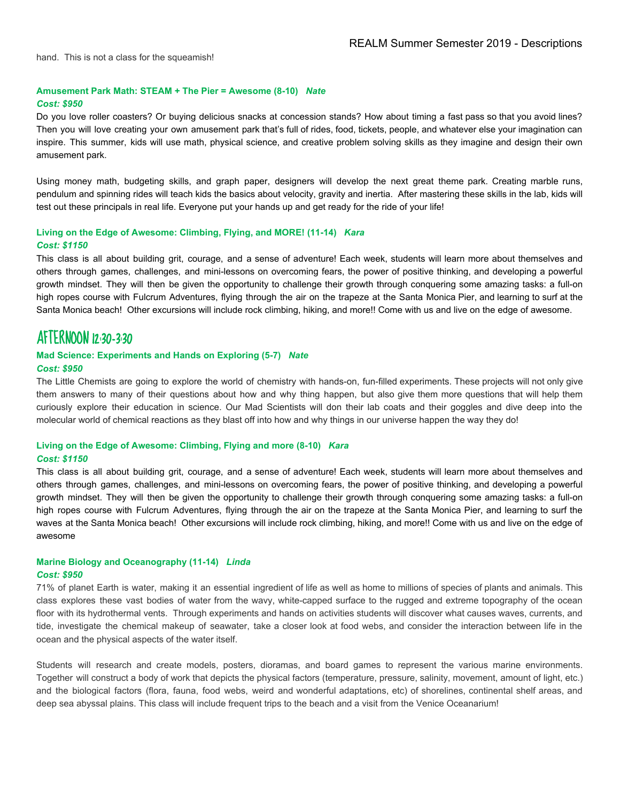hand. This is not a class for the squeamish!

#### **Amusement Park Math: STEAM + The Pier = Awesome (8-10)** *Nate*

#### *Cost: \$950*

Do you love roller coasters? Or buying delicious snacks at concession stands? How about timing a fast pass so that you avoid lines? Then you will love creating your own amusement park that's full of rides, food, tickets, people, and whatever else your imagination can inspire. This summer, kids will use math, physical science, and creative problem solving skills as they imagine and design their own amusement park.

Using money math, budgeting skills, and graph paper, designers will develop the next great theme park. Creating marble runs, pendulum and spinning rides will teach kids the basics about velocity, gravity and inertia. After mastering these skills in the lab, kids will test out these principals in real life. Everyone put your hands up and get ready for the ride of your life!

#### **Living on the Edge of Awesome: Climbing, Flying, and MORE! (11-14)** *Kara Cost: \$1150*

This class is all about building grit, courage, and a sense of adventure! Each week, students will learn more about themselves and others through games, challenges, and mini-lessons on overcoming fears, the power of positive thinking, and developing a powerful growth mindset. They will then be given the opportunity to challenge their growth through conquering some amazing tasks: a full-on high ropes course with Fulcrum Adventures, flying through the air on the trapeze at the Santa Monica Pier, and learning to surf at the Santa Monica beach! Other excursions will include rock climbing, hiking, and more!! Come with us and live on the edge of awesome.

### AFTERNOON 12:30-3:30

# **Mad Science: Experiments and Hands on Exploring (5-7)** *Nate*

*Cost: \$950*

The Little Chemists are going to explore the world of chemistry with hands-on, fun-filled experiments. These projects will not only give them answers to many of their questions about how and why thing happen, but also give them more questions that will help them curiously explore their education in science. Our Mad Scientists will don their lab coats and their goggles and dive deep into the molecular world of chemical reactions as they blast off into how and why things in our universe happen the way they do!

#### **Living on the Edge of Awesome: Climbing, Flying and more (8-10)** *Kara*

#### *Cost: \$1150*

This class is all about building grit, courage, and a sense of adventure! Each week, students will learn more about themselves and others through games, challenges, and mini-lessons on overcoming fears, the power of positive thinking, and developing a powerful growth mindset. They will then be given the opportunity to challenge their growth through conquering some amazing tasks: a full-on high ropes course with Fulcrum Adventures, flying through the air on the trapeze at the Santa Monica Pier, and learning to surf the waves at the Santa Monica beach! Other excursions will include rock climbing, hiking, and more!! Come with us and live on the edge of awesome

#### **Marine Biology and Oceanography (11-14)** *Linda Cost: \$950*

71% of planet Earth is water, making it an essential ingredient of life as well as home to millions of species of plants and animals. This class explores these vast bodies of water from the wavy, white-capped surface to the rugged and extreme topography of the ocean floor with its hydrothermal vents. Through experiments and hands on activities students will discover what causes waves, currents, and tide, investigate the chemical makeup of seawater, take a closer look at food webs, and consider the interaction between life in the ocean and the physical aspects of the water itself.

Students will research and create models, posters, dioramas, and board games to represent the various marine environments. Together will construct a body of work that depicts the physical factors (temperature, pressure, salinity, movement, amount of light, etc.) and the biological factors (flora, fauna, food webs, weird and wonderful adaptations, etc) of shorelines, continental shelf areas, and deep sea abyssal plains. This class will include frequent trips to the beach and a visit from the Venice Oceanarium!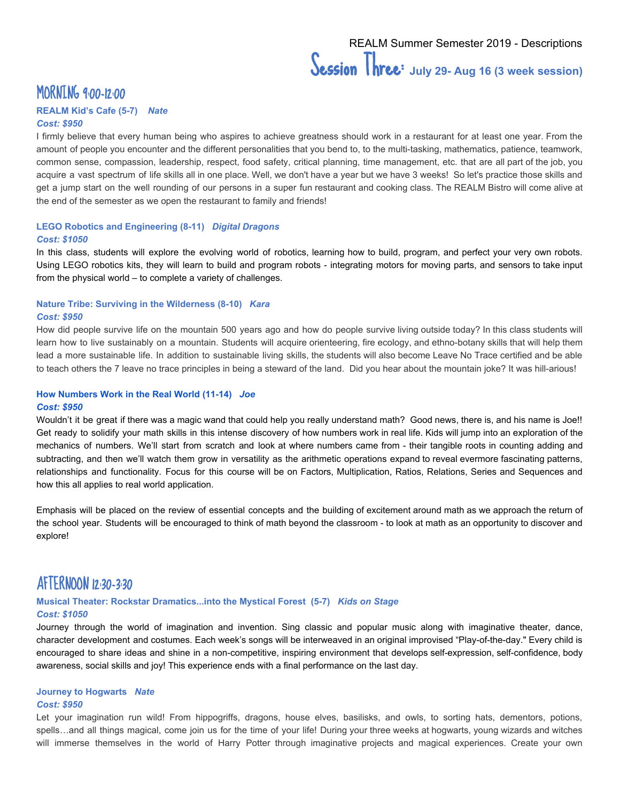## MORNING 9:00-12:00

### **REALM Kid's Cafe (5-7)** *Nate*

#### *Cost: \$950*

I firmly believe that every human being who aspires to achieve greatness should work in a restaurant for at least one year. From the amount of people you encounter and the different personalities that you bend to, to the multi-tasking, mathematics, patience, teamwork, common sense, compassion, leadership, respect, food safety, critical planning, time management, etc. that are all part of the job, you acquire a vast spectrum of life skills all in one place. Well, we don't have a year but we have 3 weeks! So let's practice those skills and get a jump start on the well rounding of our persons in a super fun restaurant and cooking class. The REALM Bistro will come alive at the end of the semester as we open the restaurant to family and friends!

#### **LEGO Robotics and Engineering (8-11)** *Digital Dragons Cost: \$1050*

In this class, students will explore the evolving world of robotics, learning how to build, program, and perfect your very own robots. Using LEGO robotics kits, they will learn to build and program robots - integrating motors for moving parts, and sensors to take input from the physical world – to complete a variety of challenges.

#### **Nature Tribe: Surviving in the Wilderness (8-10)** *Kara Cost: \$950*

How did people survive life on the mountain 500 years ago and how do people survive living outside today? In this class students will learn how to live sustainably on a mountain. Students will acquire orienteering, fire ecology, and ethno-botany skills that will help them lead a more sustainable life. In addition to sustainable living skills, the students will also become Leave No Trace certified and be able to teach others the 7 leave no trace principles in being a steward of the land. Did you hear about the mountain joke? It was hill-arious!

#### **How Numbers Work in the Real World (11-14)** *Joe Cost: \$950*

Wouldn't it be great if there was a magic wand that could help you really understand math? Good news, there is, and his name is Joe!! Get ready to solidify your math skills in this intense discovery of how numbers work in real life. Kids will jump into an exploration of the mechanics of numbers. We'll start from scratch and look at where numbers came from - their tangible roots in counting adding and subtracting, and then we'll watch them grow in versatility as the arithmetic operations expand to reveal evermore fascinating patterns, relationships and functionality. Focus for this course will be on Factors, Multiplication, Ratios, Relations, Series and Sequences and how this all applies to real world application.

Emphasis will be placed on the review of essential concepts and the building of excitement around math as we approach the return of the school year. Students will be encouraged to think of math beyond the classroom - to look at math as an opportunity to discover and explore!

### AFTERNOON 12:30-3:30

#### **Musical Theater: Rockstar Dramatics...into the Mystical Forest (5-7)** *Kids on Stage Cost: \$1050*

Journey through the world of imagination and invention. Sing classic and popular music along with imaginative theater, dance, character development and costumes. Each week's songs will be interweaved in an original improvised "Play-of-the-day." Every child is encouraged to share ideas and shine in a non-competitive, inspiring environment that develops self-expression, self-confidence, body awareness, social skills and joy! This experience ends with a final performance on the last day.

#### **Journey to Hogwarts** *Nate*

#### *Cost: \$950*

Let your imagination run wild! From hippogriffs, dragons, house elves, basilisks, and owls, to sorting hats, dementors, potions, spells…and all things magical, come join us for the time of your life! During your three weeks at hogwarts, young wizards and witches will immerse themselves in the world of Harry Potter through imaginative projects and magical experiences. Create your own